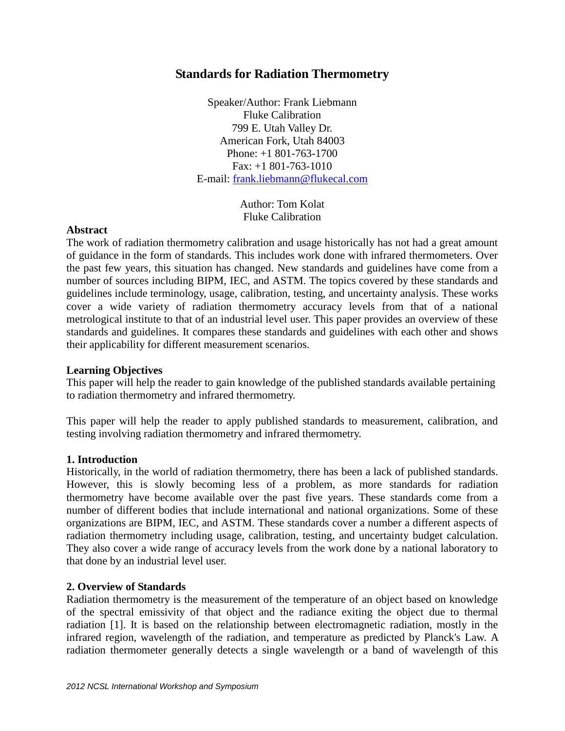# **Standards for Radiation Thermometry**

Speaker/Author: Frank Liebmann Fluke Calibration 799 E. Utah Valley Dr. American Fork, Utah 84003 Phone: +1 801-763-1700  $Fax: +1801-763-1010$ E-mail: [frank.liebmann@flukecal.com](mailto:frank.liebmann@flukecal.com)

> Author: Tom Kolat Fluke Calibration

#### **Abstract**

The work of radiation thermometry calibration and usage historically has not had a great amount of guidance in the form of standards. This includes work done with infrared thermometers. Over the past few years, this situation has changed. New standards and guidelines have come from a number of sources including BIPM, IEC, and ASTM. The topics covered by these standards and guidelines include terminology, usage, calibration, testing, and uncertainty analysis. These works cover a wide variety of radiation thermometry accuracy levels from that of a national metrological institute to that of an industrial level user. This paper provides an overview of these standards and guidelines. It compares these standards and guidelines with each other and shows their applicability for different measurement scenarios.

#### **Learning Objectives**

This paper will help the reader to gain knowledge of the published standards available pertaining to radiation thermometry and infrared thermometry.

This paper will help the reader to apply published standards to measurement, calibration, and testing involving radiation thermometry and infrared thermometry.

#### **1. Introduction**

Historically, in the world of radiation thermometry, there has been a lack of published standards. However, this is slowly becoming less of a problem, as more standards for radiation thermometry have become available over the past five years. These standards come from a number of different bodies that include international and national organizations. Some of these organizations are BIPM, IEC, and ASTM. These standards cover a number a different aspects of radiation thermometry including usage, calibration, testing, and uncertainty budget calculation. They also cover a wide range of accuracy levels from the work done by a national laboratory to that done by an industrial level user.

#### **2. Overview of Standards**

Radiation thermometry is the measurement of the temperature of an object based on knowledge of the spectral emissivity of that object and the radiance exiting the object due to thermal radiation [1]. It is based on the relationship between electromagnetic radiation, mostly in the infrared region, wavelength of the radiation, and temperature as predicted by Planck's Law. A radiation thermometer generally detects a single wavelength or a band of wavelength of this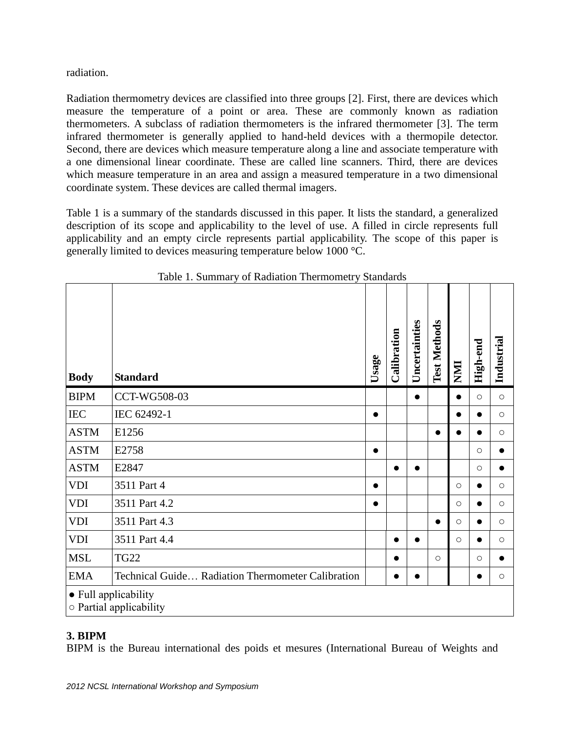radiation.

Radiation thermometry devices are classified into three groups [2]. First, there are devices which measure the temperature of a point or area. These are commonly known as radiation thermometers. A subclass of radiation thermometers is the infrared thermometer [3]. The term infrared thermometer is generally applied to hand-held devices with a thermopile detector. Second, there are devices which measure temperature along a line and associate temperature with a one dimensional linear coordinate. These are called line scanners. Third, there are devices which measure temperature in an area and assign a measured temperature in a two dimensional coordinate system. These devices are called thermal imagers.

Table 1 is a summary of the standards discussed in this paper. It lists the standard, a generalized description of its scope and applicability to the level of use. A filled in circle represents full applicability and an empty circle represents partial applicability. The scope of this paper is generally limited to devices measuring temperature below 1000 °C.

| <b>Body</b>                                           | <b>Standard</b>                                   | Usage     | Calibration | Uncertainties | <b>Test Methods</b> | IMM       | High-end  | Industrial          |
|-------------------------------------------------------|---------------------------------------------------|-----------|-------------|---------------|---------------------|-----------|-----------|---------------------|
| <b>BIPM</b>                                           | CCT-WG508-03                                      |           |             | $\bullet$     |                     | $\bullet$ | $\circ$   | $\circ$             |
| <b>IEC</b>                                            | IEC 62492-1                                       | $\bullet$ |             |               |                     | $\bullet$ | $\bullet$ | $\circ$             |
| <b>ASTM</b>                                           | E1256                                             |           |             |               | $\bullet$           |           |           | $\circ$             |
| <b>ASTM</b>                                           | E2758                                             | $\bullet$ |             |               |                     |           | $\circ$   | $\bullet$           |
| <b>ASTM</b>                                           | E2847                                             |           | $\bullet$   | $\bullet$     |                     |           | $\circ$   | $\bullet$           |
| <b>VDI</b>                                            | 3511 Part 4                                       | $\bullet$ |             |               |                     | $\circ$   | $\bullet$ | $\circ$             |
| <b>VDI</b>                                            | 3511 Part 4.2                                     | $\bullet$ |             |               |                     | $\circ$   | $\bullet$ | $\circ$             |
| <b>VDI</b>                                            | 3511 Part 4.3                                     |           |             |               | $\bullet$           | $\circ$   | ●         | $\circ$             |
| <b>VDI</b>                                            | 3511 Part 4.4                                     |           | $\bullet$   | $\bullet$     |                     | $\circ$   | $\bullet$ | $\circ$             |
| <b>MSL</b>                                            | <b>TG22</b>                                       |           |             |               | $\circ$             |           | $\circ$   | $\bullet$           |
| <b>EMA</b>                                            | Technical Guide Radiation Thermometer Calibration |           |             | $\bullet$     |                     |           | ●         | $\circlearrowright$ |
| • Full applicability<br>$\circ$ Partial applicability |                                                   |           |             |               |                     |           |           |                     |

Table 1. Summary of Radiation Thermometry Standards

## **3. BIPM**

BIPM is the Bureau international des poids et mesures (International Bureau of Weights and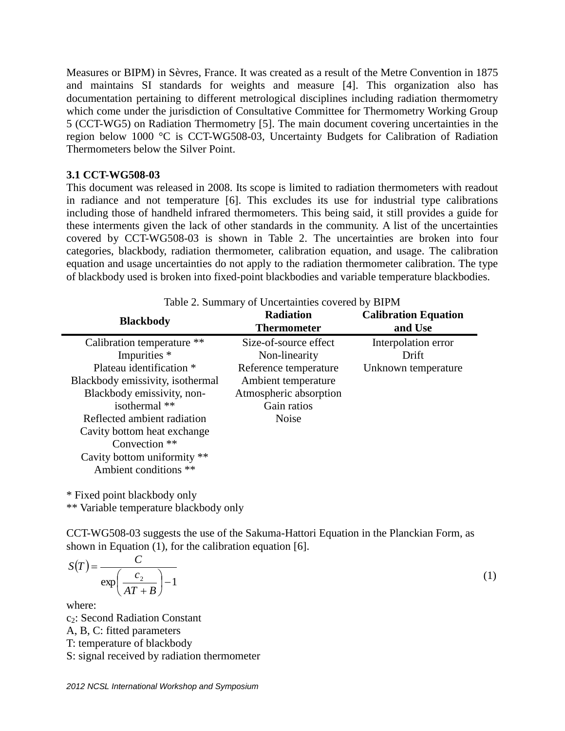Measures or BIPM) in Sèvres, France. It was created as a result of the Metre Convention in 1875 and maintains SI standards for weights and measure [4]. This organization also has documentation pertaining to different metrological disciplines including radiation thermometry which come under the jurisdiction of Consultative Committee for Thermometry Working Group 5 (CCT-WG5) on Radiation Thermometry [5]. The main document covering uncertainties in the region below 1000 °C is CCT-WG508-03, Uncertainty Budgets for Calibration of Radiation Thermometers below the Silver Point.

#### **3.1 CCT-WG508-03**

This document was released in 2008. Its scope is limited to radiation thermometers with readout in radiance and not temperature [6]. This excludes its use for industrial type calibrations including those of handheld infrared thermometers. This being said, it still provides a guide for these interments given the lack of other standards in the community. A list of the uncertainties covered by CCT-WG508-03 is shown in Table 2. The uncertainties are broken into four categories, blackbody, radiation thermometer, calibration equation, and usage. The calibration equation and usage uncertainties do not apply to the radiation thermometer calibration. The type of blackbody used is broken into fixed-point blackbodies and variable temperature blackbodies.

| Table 2. Summary of Uncertainties covered by BIPM |                                        |                                        |  |  |  |  |  |  |
|---------------------------------------------------|----------------------------------------|----------------------------------------|--|--|--|--|--|--|
| <b>Blackbody</b>                                  | <b>Radiation</b><br><b>Thermometer</b> | <b>Calibration Equation</b><br>and Use |  |  |  |  |  |  |
| Calibration temperature **                        | Size-of-source effect                  | Interpolation error                    |  |  |  |  |  |  |
| Impurities *                                      | Non-linearity                          | Drift                                  |  |  |  |  |  |  |
| Plateau identification *                          | Reference temperature                  | Unknown temperature                    |  |  |  |  |  |  |
| Blackbody emissivity, isothermal                  | Ambient temperature                    |                                        |  |  |  |  |  |  |
| Blackbody emissivity, non-                        | Atmospheric absorption                 |                                        |  |  |  |  |  |  |
| isothermal **                                     | Gain ratios                            |                                        |  |  |  |  |  |  |
| Reflected ambient radiation                       | <b>Noise</b>                           |                                        |  |  |  |  |  |  |
| Cavity bottom heat exchange                       |                                        |                                        |  |  |  |  |  |  |
| Convection **                                     |                                        |                                        |  |  |  |  |  |  |
| Cavity bottom uniformity **                       |                                        |                                        |  |  |  |  |  |  |
| Ambient conditions **                             |                                        |                                        |  |  |  |  |  |  |

\* Fixed point blackbody only

\*\* Variable temperature blackbody only

CCT-WG508-03 suggests the use of the Sakuma-Hattori Equation in the Planckian Form, as shown in Equation (1), for the calibration equation [6].

$$
S(T) = \frac{C}{\exp\left(\frac{c_2}{AT+B}\right) - 1}
$$

where:

c<sub>2</sub>: Second Radiation Constant

A, B, C: fitted parameters

T: temperature of blackbody

S: signal received by radiation thermometer

(1)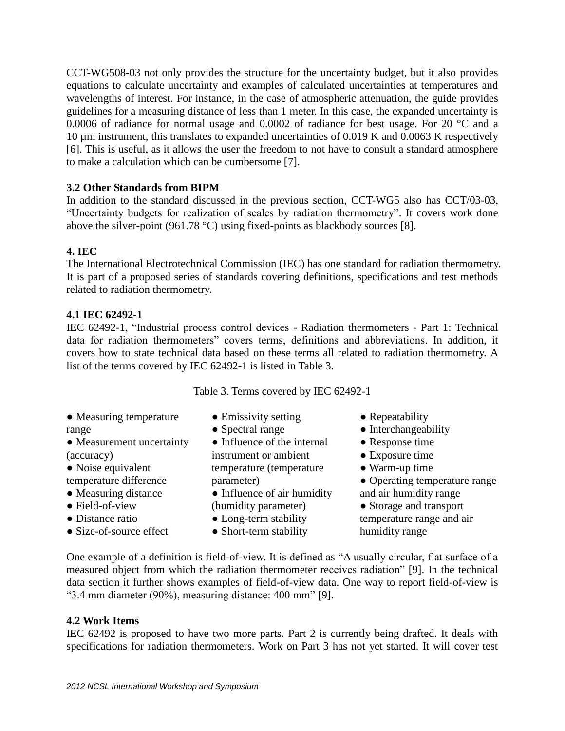CCT-WG508-03 not only provides the structure for the uncertainty budget, but it also provides equations to calculate uncertainty and examples of calculated uncertainties at temperatures and wavelengths of interest. For instance, in the case of atmospheric attenuation, the guide provides guidelines for a measuring distance of less than 1 meter. In this case, the expanded uncertainty is 0.0006 of radiance for normal usage and 0.0002 of radiance for best usage. For 20 °C and a 10 µm instrument, this translates to expanded uncertainties of 0.019 K and 0.0063 K respectively [6]. This is useful, as it allows the user the freedom to not have to consult a standard atmosphere to make a calculation which can be cumbersome [7].

## **3.2 Other Standards from BIPM**

In addition to the standard discussed in the previous section, CCT-WG5 also has CCT/03-03, "Uncertainty budgets for realization of scales by radiation thermometry". It covers work done above the silver-point (961.78 °C) using fixed-points as blackbody sources [8].

## **4. IEC**

The International Electrotechnical Commission (IEC) has one standard for radiation thermometry. It is part of a proposed series of standards covering definitions, specifications and test methods related to radiation thermometry.

# **4.1 IEC 62492-1**

IEC 62492-1, "Industrial process control devices - Radiation thermometers - Part 1: Technical data for radiation thermometers" covers terms, definitions and abbreviations. In addition, it covers how to state technical data based on these terms all related to radiation thermometry. A list of the terms covered by IEC 62492-1 is listed in Table 3.

Table 3. Terms covered by IEC 62492-1

- Measuring temperature range
- Measurement uncertainty (accuracy)
- Noise equivalent
- temperature difference
- Measuring distance
- Field-of-view
- Distance ratio
- Size-of-source effect
- Emissivity setting
- Spectral range
- Influence of the internal instrument or ambient temperature (temperature parameter)
- Influence of air humidity (humidity parameter)
- Long-term stability
- Short-term stability
- Repeatability
- Interchangeability
- Response time
- Exposure time
- Warm-up time
- Operating temperature range and air humidity range
- Storage and transport
- temperature range and air humidity range

One example of a definition is field-of-view. It is defined as "A usually circular, flat surface of a measured object from which the radiation thermometer receives radiation" [9]. In the technical data section it further shows examples of field-of-view data. One way to report field-of-view is "3.4 mm diameter (90%), measuring distance: 400 mm" [9].

## **4.2 Work Items**

IEC 62492 is proposed to have two more parts. Part 2 is currently being drafted. It deals with specifications for radiation thermometers. Work on Part 3 has not yet started. It will cover test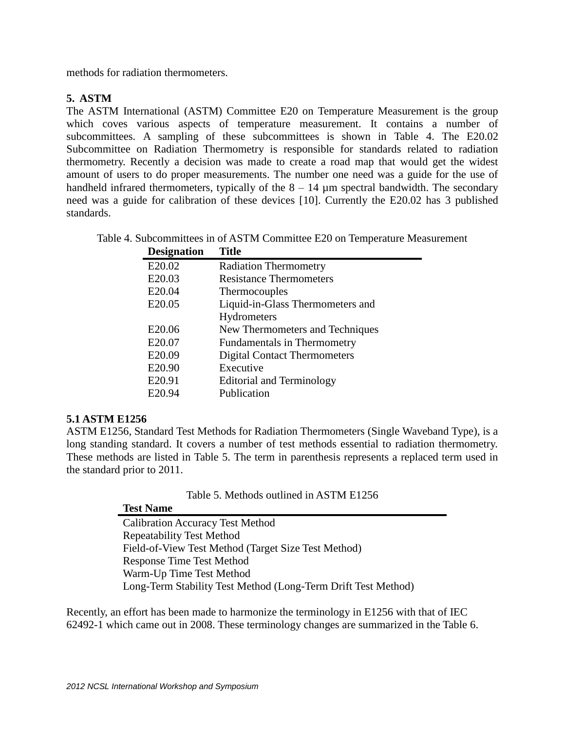methods for radiation thermometers.

## **5. ASTM**

The ASTM International (ASTM) Committee E20 on Temperature Measurement is the group which coves various aspects of temperature measurement. It contains a number of subcommittees. A sampling of these subcommittees is shown in Table 4. The E20.02 Subcommittee on Radiation Thermometry is responsible for standards related to radiation thermometry. Recently a decision was made to create a road map that would get the widest amount of users to do proper measurements. The number one need was a guide for the use of handheld infrared thermometers, typically of the  $8 - 14 \mu m$  spectral bandwidth. The secondary need was a guide for calibration of these devices [10]. Currently the E20.02 has 3 published standards.

|  |  | <b>PERS</b> 25 |  | Table 4. Subcommittees in of ASTM Committee E20 on Temperature Measurement |  |
|--|--|----------------|--|----------------------------------------------------------------------------|--|
|  |  |                |  |                                                                            |  |

| <b>Designation</b> | Title                               |
|--------------------|-------------------------------------|
| E20.02             | <b>Radiation Thermometry</b>        |
| E20.03             | <b>Resistance Thermometers</b>      |
| E20.04             | Thermocouples                       |
| E20.05             | Liquid-in-Glass Thermometers and    |
|                    | Hydrometers                         |
| E20.06             | New Thermometers and Techniques     |
| E20.07             | <b>Fundamentals in Thermometry</b>  |
| E20.09             | <b>Digital Contact Thermometers</b> |
| E20.90             | Executive                           |
| E20.91             | <b>Editorial and Terminology</b>    |
| E20.94             | Publication                         |
|                    |                                     |

## **5.1 ASTM E1256**

ASTM E1256, Standard Test Methods for Radiation Thermometers (Single Waveband Type), is a long standing standard. It covers a number of test methods essential to radiation thermometry. These methods are listed in Table 5. The term in parenthesis represents a replaced term used in the standard prior to 2011.

Table 5. Methods outlined in ASTM E1256

## **Test Name**

Calibration Accuracy Test Method Repeatability Test Method Field-of-View Test Method (Target Size Test Method) Response Time Test Method Warm-Up Time Test Method Long-Term Stability Test Method (Long-Term Drift Test Method)

Recently, an effort has been made to harmonize the terminology in E1256 with that of IEC 62492-1 which came out in 2008. These terminology changes are summarized in the Table 6.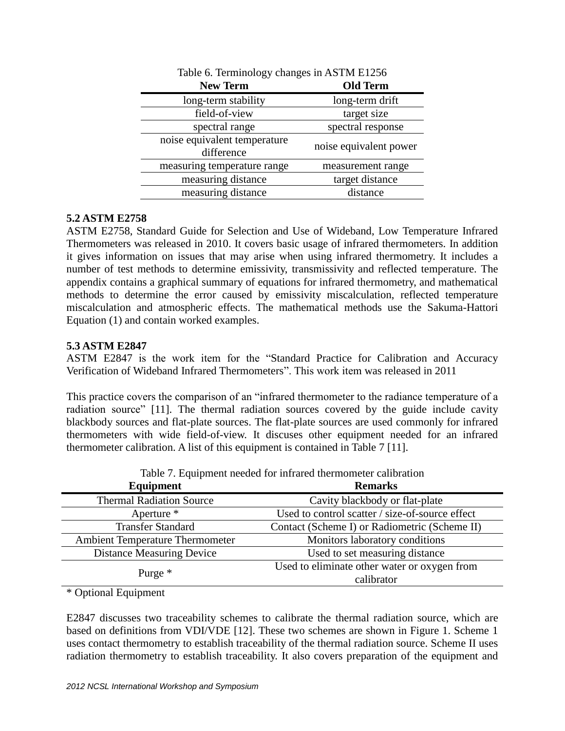| Table 6. Terminology changes in ASTM E1256 |                        |  |  |  |  |  |
|--------------------------------------------|------------------------|--|--|--|--|--|
| <b>New Term</b>                            | <b>Old Term</b>        |  |  |  |  |  |
| long-term stability                        | long-term drift        |  |  |  |  |  |
| field-of-view                              | target size            |  |  |  |  |  |
| spectral range                             | spectral response      |  |  |  |  |  |
| noise equivalent temperature<br>difference | noise equivalent power |  |  |  |  |  |
| measuring temperature range                | measurement range      |  |  |  |  |  |
| measuring distance                         | target distance        |  |  |  |  |  |
| measuring distance                         | distance               |  |  |  |  |  |

# **5.2 ASTM E2758**

ASTM E2758, Standard Guide for Selection and Use of Wideband, Low Temperature Infrared Thermometers was released in 2010. It covers basic usage of infrared thermometers. In addition it gives information on issues that may arise when using infrared thermometry. It includes a number of test methods to determine emissivity, transmissivity and reflected temperature. The appendix contains a graphical summary of equations for infrared thermometry, and mathematical methods to determine the error caused by emissivity miscalculation, reflected temperature miscalculation and atmospheric effects. The mathematical methods use the Sakuma-Hattori Equation (1) and contain worked examples.

## **5.3 ASTM E2847**

ASTM E2847 is the work item for the "Standard Practice for Calibration and Accuracy Verification of Wideband Infrared Thermometers". This work item was released in 2011

This practice covers the comparison of an "infrared thermometer to the radiance temperature of a radiation source" [11]. The thermal radiation sources covered by the guide include cavity blackbody sources and flat-plate sources. The flat-plate sources are used commonly for infrared thermometers with wide field-of-view. It discuses other equipment needed for an infrared thermometer calibration. A list of this equipment is contained in Table 7 [11].

| Equipment                              | <b>Remarks</b>                                  |
|----------------------------------------|-------------------------------------------------|
| <b>Thermal Radiation Source</b>        | Cavity blackbody or flat-plate                  |
| Aperture *                             | Used to control scatter / size-of-source effect |
| <b>Transfer Standard</b>               | Contact (Scheme I) or Radiometric (Scheme II)   |
| <b>Ambient Temperature Thermometer</b> | Monitors laboratory conditions                  |
| <b>Distance Measuring Device</b>       | Used to set measuring distance                  |
|                                        | Used to eliminate other water or oxygen from    |
| Purge $*$                              | calibrator                                      |

Table 7. Equipment needed for infrared thermometer calibration

\* Optional Equipment

E2847 discusses two traceability schemes to calibrate the thermal radiation source, which are based on definitions from VDI/VDE [12]. These two schemes are shown in Figure 1. Scheme 1 uses contact thermometry to establish traceability of the thermal radiation source. Scheme II uses radiation thermometry to establish traceability. It also covers preparation of the equipment and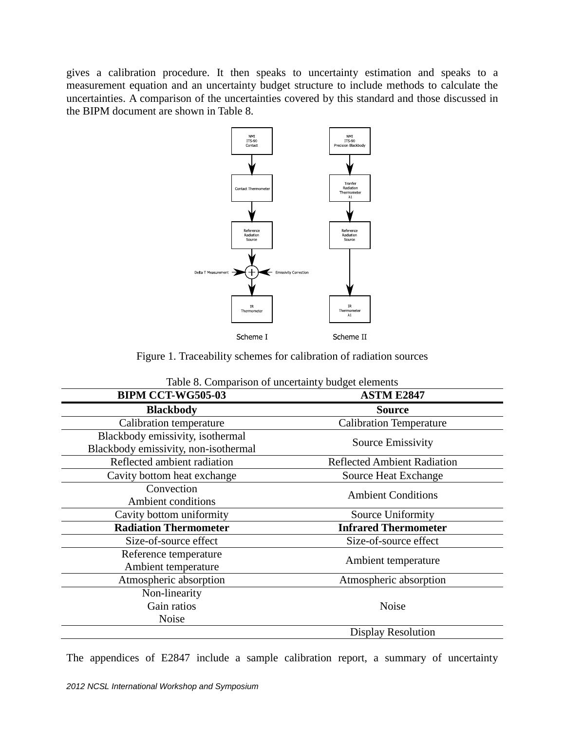gives a calibration procedure. It then speaks to uncertainty estimation and speaks to a measurement equation and an uncertainty budget structure to include methods to calculate the uncertainties. A comparison of the uncertainties covered by this standard and those discussed in the BIPM document are shown in Table 8.



Figure 1. Traceability schemes for calibration of radiation sources

| <b>BIPM CCT-WG505-03</b>                                                 | <b>ASTM E2847</b>                  |
|--------------------------------------------------------------------------|------------------------------------|
| <b>Blackbody</b>                                                         | <b>Source</b>                      |
| Calibration temperature                                                  | <b>Calibration Temperature</b>     |
| Blackbody emissivity, isothermal<br>Blackbody emissivity, non-isothermal | Source Emissivity                  |
| Reflected ambient radiation                                              | <b>Reflected Ambient Radiation</b> |
| Cavity bottom heat exchange                                              | Source Heat Exchange               |
| Convection<br><b>Ambient conditions</b>                                  | <b>Ambient Conditions</b>          |
| Cavity bottom uniformity                                                 | Source Uniformity                  |
| <b>Radiation Thermometer</b>                                             | <b>Infrared Thermometer</b>        |
| Size-of-source effect                                                    | Size-of-source effect              |
| Reference temperature<br>Ambient temperature                             | Ambient temperature                |
| Atmospheric absorption                                                   | Atmospheric absorption             |
| Non-linearity<br>Gain ratios<br>Noise                                    | Noise                              |
|                                                                          | <b>Display Resolution</b>          |

|  | Table 8. Comparison of uncertainty budget elements |
|--|----------------------------------------------------|
|  |                                                    |

The appendices of E2847 include a sample calibration report, a summary of uncertainty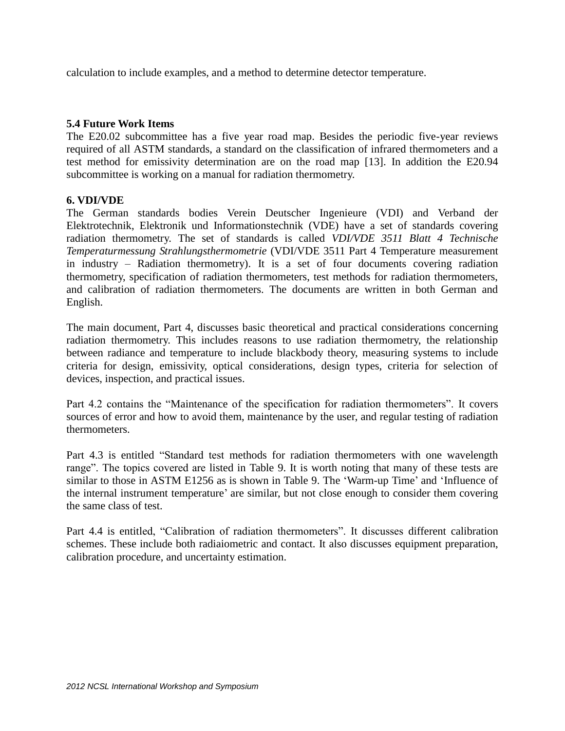calculation to include examples, and a method to determine detector temperature.

#### **5.4 Future Work Items**

The E20.02 subcommittee has a five year road map. Besides the periodic five-year reviews required of all ASTM standards, a standard on the classification of infrared thermometers and a test method for emissivity determination are on the road map [13]. In addition the E20.94 subcommittee is working on a manual for radiation thermometry.

#### **6. VDI/VDE**

The German standards bodies Verein Deutscher Ingenieure (VDI) and Verband der Elektrotechnik, Elektronik und Informationstechnik (VDE) have a set of standards covering radiation thermometry. The set of standards is called *VDI/VDE 3511 Blatt 4 Technische Temperaturmessung Strahlungsthermometrie* (VDI/VDE 3511 Part 4 Temperature measurement in industry – Radiation thermometry). It is a set of four documents covering radiation thermometry, specification of radiation thermometers, test methods for radiation thermometers, and calibration of radiation thermometers. The documents are written in both German and English.

The main document, Part 4, discusses basic theoretical and practical considerations concerning radiation thermometry. This includes reasons to use radiation thermometry, the relationship between radiance and temperature to include blackbody theory, measuring systems to include criteria for design, emissivity, optical considerations, design types, criteria for selection of devices, inspection, and practical issues.

Part 4.2 contains the "Maintenance of the specification for radiation thermometers". It covers sources of error and how to avoid them, maintenance by the user, and regular testing of radiation thermometers.

Part 4.3 is entitled "Standard test methods for radiation thermometers with one wavelength range". The topics covered are listed in Table 9. It is worth noting that many of these tests are similar to those in ASTM E1256 as is shown in Table 9. The 'Warm-up Time' and 'Influence of the internal instrument temperature' are similar, but not close enough to consider them covering the same class of test.

Part 4.4 is entitled, "Calibration of radiation thermometers". It discusses different calibration schemes. These include both radiaiometric and contact. It also discusses equipment preparation, calibration procedure, and uncertainty estimation.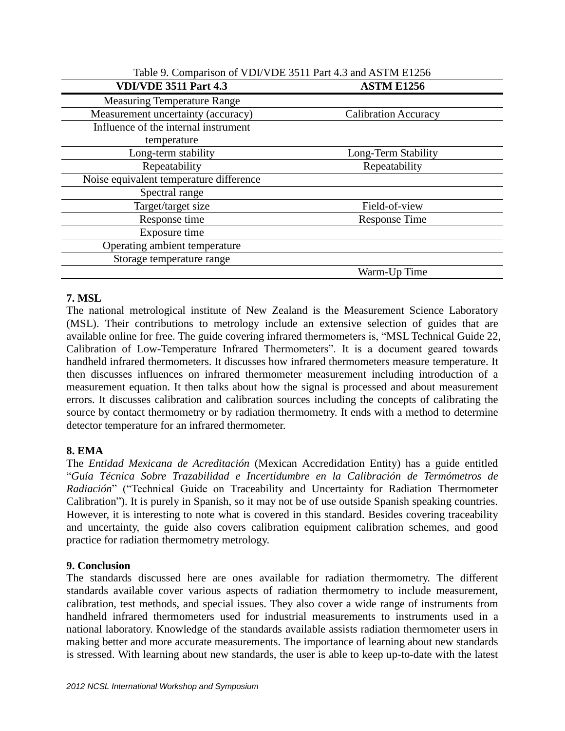| Table 9. Comparison of VDI/VDE 3511 Part 4.3 and ASTM E1256 |                             |  |  |  |
|-------------------------------------------------------------|-----------------------------|--|--|--|
| <b>VDI/VDE 3511 Part 4.3</b>                                | <b>ASTM E1256</b>           |  |  |  |
| <b>Measuring Temperature Range</b>                          |                             |  |  |  |
| Measurement uncertainty (accuracy)                          | <b>Calibration Accuracy</b> |  |  |  |
| Influence of the internal instrument                        |                             |  |  |  |
| temperature                                                 |                             |  |  |  |
| Long-term stability                                         | Long-Term Stability         |  |  |  |
| Repeatability                                               | Repeatability               |  |  |  |
| Noise equivalent temperature difference                     |                             |  |  |  |
| Spectral range                                              |                             |  |  |  |
| Target/target size                                          | Field-of-view               |  |  |  |
| Response time                                               | <b>Response Time</b>        |  |  |  |
| Exposure time                                               |                             |  |  |  |
| Operating ambient temperature                               |                             |  |  |  |
| Storage temperature range                                   |                             |  |  |  |
|                                                             | Warm-Up Time                |  |  |  |

## **7. MSL**

The national metrological institute of New Zealand is the Measurement Science Laboratory (MSL). Their contributions to metrology include an extensive selection of guides that are available online for free. The guide covering infrared thermometers is, "MSL Technical Guide 22, Calibration of Low-Temperature Infrared Thermometers". It is a document geared towards handheld infrared thermometers. It discusses how infrared thermometers measure temperature. It then discusses influences on infrared thermometer measurement including introduction of a measurement equation. It then talks about how the signal is processed and about measurement errors. It discusses calibration and calibration sources including the concepts of calibrating the source by contact thermometry or by radiation thermometry. It ends with a method to determine detector temperature for an infrared thermometer.

## **8. EMA**

The *Entidad Mexicana de Acreditación* (Mexican Accredidation Entity) has a guide entitled "*Guía Técnica Sobre Trazabilidad e Incertidumbre en la Calibración de Termómetros de Radiación*" ("Technical Guide on Traceability and Uncertainty for Radiation Thermometer Calibration"). It is purely in Spanish, so it may not be of use outside Spanish speaking countries. However, it is interesting to note what is covered in this standard. Besides covering traceability and uncertainty, the guide also covers calibration equipment calibration schemes, and good practice for radiation thermometry metrology.

## **9. Conclusion**

The standards discussed here are ones available for radiation thermometry. The different standards available cover various aspects of radiation thermometry to include measurement, calibration, test methods, and special issues. They also cover a wide range of instruments from handheld infrared thermometers used for industrial measurements to instruments used in a national laboratory. Knowledge of the standards available assists radiation thermometer users in making better and more accurate measurements. The importance of learning about new standards is stressed. With learning about new standards, the user is able to keep up-to-date with the latest